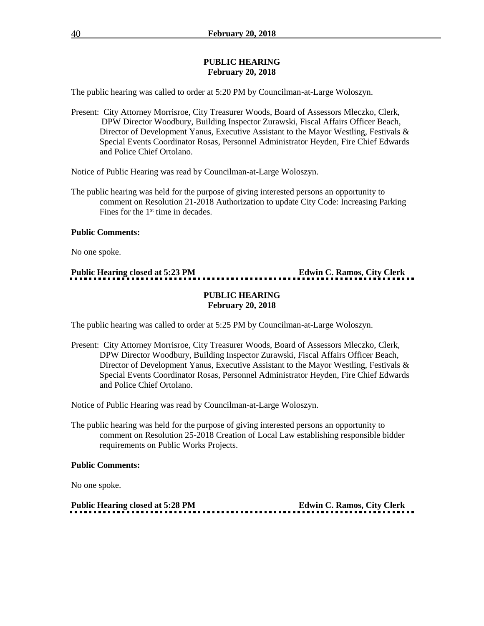#### **PUBLIC HEARING February 20, 2018**

The public hearing was called to order at 5:20 PM by Councilman-at-Large Woloszyn.

Present: City Attorney Morrisroe, City Treasurer Woods, Board of Assessors Mleczko, Clerk, DPW Director Woodbury, Building Inspector Zurawski, Fiscal Affairs Officer Beach, Director of Development Yanus, Executive Assistant to the Mayor Westling, Festivals & Special Events Coordinator Rosas, Personnel Administrator Heyden, Fire Chief Edwards and Police Chief Ortolano.

Notice of Public Hearing was read by Councilman-at-Large Woloszyn.

The public hearing was held for the purpose of giving interested persons an opportunity to comment on Resolution 21-2018 Authorization to update City Code: Increasing Parking Fines for the 1<sup>st</sup> time in decades.

#### **Public Comments:**

No one spoke.

# **Public Hearing closed at 5:23 PM Edwin C. Ramos, City Clerk**

#### **PUBLIC HEARING February 20, 2018**

The public hearing was called to order at 5:25 PM by Councilman-at-Large Woloszyn.

Present: City Attorney Morrisroe, City Treasurer Woods, Board of Assessors Mleczko, Clerk, DPW Director Woodbury, Building Inspector Zurawski, Fiscal Affairs Officer Beach, Director of Development Yanus, Executive Assistant to the Mayor Westling, Festivals & Special Events Coordinator Rosas, Personnel Administrator Heyden, Fire Chief Edwards and Police Chief Ortolano.

Notice of Public Hearing was read by Councilman-at-Large Woloszyn.

The public hearing was held for the purpose of giving interested persons an opportunity to comment on Resolution 25-2018 Creation of Local Law establishing responsible bidder requirements on Public Works Projects.

#### **Public Comments:**

No one spoke.

**Public Hearing closed at 5:28 PM Edwin C. Ramos, City Clerk**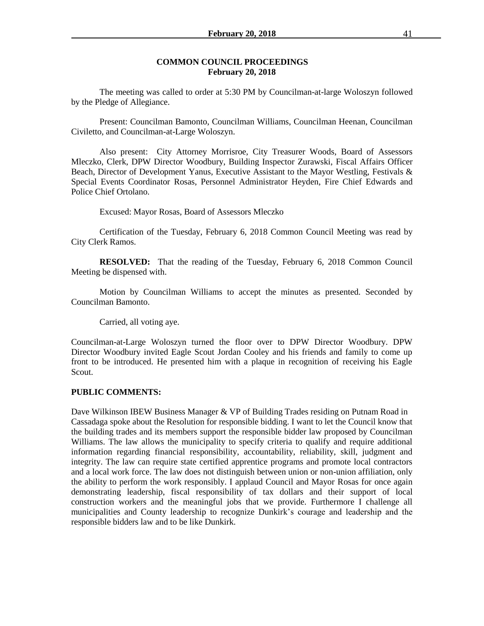#### **COMMON COUNCIL PROCEEDINGS February 20, 2018**

The meeting was called to order at 5:30 PM by Councilman-at-large Woloszyn followed by the Pledge of Allegiance.

Present: Councilman Bamonto, Councilman Williams, Councilman Heenan, Councilman Civiletto, and Councilman-at-Large Woloszyn.

Also present: City Attorney Morrisroe, City Treasurer Woods, Board of Assessors Mleczko, Clerk, DPW Director Woodbury, Building Inspector Zurawski, Fiscal Affairs Officer Beach, Director of Development Yanus, Executive Assistant to the Mayor Westling, Festivals & Special Events Coordinator Rosas, Personnel Administrator Heyden, Fire Chief Edwards and Police Chief Ortolano.

Excused: Mayor Rosas, Board of Assessors Mleczko

Certification of the Tuesday, February 6, 2018 Common Council Meeting was read by City Clerk Ramos.

**RESOLVED:** That the reading of the Tuesday, February 6, 2018 Common Council Meeting be dispensed with.

Motion by Councilman Williams to accept the minutes as presented. Seconded by Councilman Bamonto.

Carried, all voting aye.

Councilman-at-Large Woloszyn turned the floor over to DPW Director Woodbury. DPW Director Woodbury invited Eagle Scout Jordan Cooley and his friends and family to come up front to be introduced. He presented him with a plaque in recognition of receiving his Eagle Scout.

#### **PUBLIC COMMENTS:**

Dave Wilkinson IBEW Business Manager & VP of Building Trades residing on Putnam Road in Cassadaga spoke about the Resolution for responsible bidding. I want to let the Council know that the building trades and its members support the responsible bidder law proposed by Councilman Williams. The law allows the municipality to specify criteria to qualify and require additional information regarding financial responsibility, accountability, reliability, skill, judgment and integrity. The law can require state certified apprentice programs and promote local contractors and a local work force. The law does not distinguish between union or non-union affiliation, only the ability to perform the work responsibly. I applaud Council and Mayor Rosas for once again demonstrating leadership, fiscal responsibility of tax dollars and their support of local construction workers and the meaningful jobs that we provide. Furthermore I challenge all municipalities and County leadership to recognize Dunkirk's courage and leadership and the responsible bidders law and to be like Dunkirk.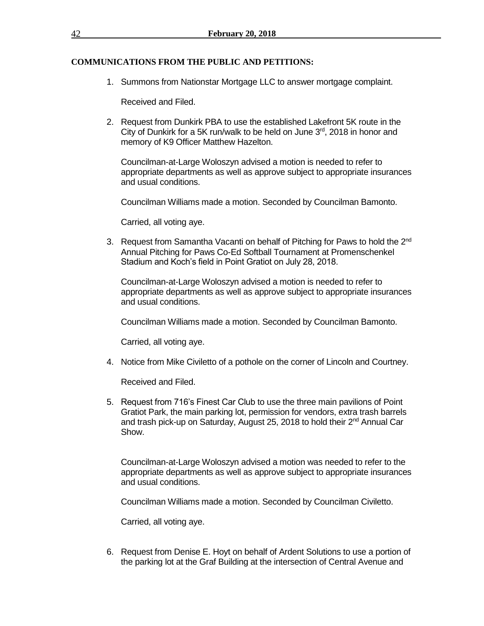### **COMMUNICATIONS FROM THE PUBLIC AND PETITIONS:**

1. Summons from Nationstar Mortgage LLC to answer mortgage complaint.

Received and Filed.

2. Request from Dunkirk PBA to use the established Lakefront 5K route in the City of Dunkirk for a 5K run/walk to be held on June  $3<sup>rd</sup>$ , 2018 in honor and memory of K9 Officer Matthew Hazelton.

Councilman-at-Large Woloszyn advised a motion is needed to refer to appropriate departments as well as approve subject to appropriate insurances and usual conditions.

Councilman Williams made a motion. Seconded by Councilman Bamonto.

Carried, all voting aye.

3. Request from Samantha Vacanti on behalf of Pitching for Paws to hold the 2<sup>nd</sup> Annual Pitching for Paws Co-Ed Softball Tournament at Promenschenkel Stadium and Koch's field in Point Gratiot on July 28, 2018.

Councilman-at-Large Woloszyn advised a motion is needed to refer to appropriate departments as well as approve subject to appropriate insurances and usual conditions.

Councilman Williams made a motion. Seconded by Councilman Bamonto.

Carried, all voting aye.

4. Notice from Mike Civiletto of a pothole on the corner of Lincoln and Courtney.

Received and Filed.

5. Request from 716's Finest Car Club to use the three main pavilions of Point Gratiot Park, the main parking lot, permission for vendors, extra trash barrels and trash pick-up on Saturday, August 25, 2018 to hold their 2<sup>nd</sup> Annual Car Show.

Councilman-at-Large Woloszyn advised a motion was needed to refer to the appropriate departments as well as approve subject to appropriate insurances and usual conditions.

Councilman Williams made a motion. Seconded by Councilman Civiletto.

Carried, all voting aye.

6. Request from Denise E. Hoyt on behalf of Ardent Solutions to use a portion of the parking lot at the Graf Building at the intersection of Central Avenue and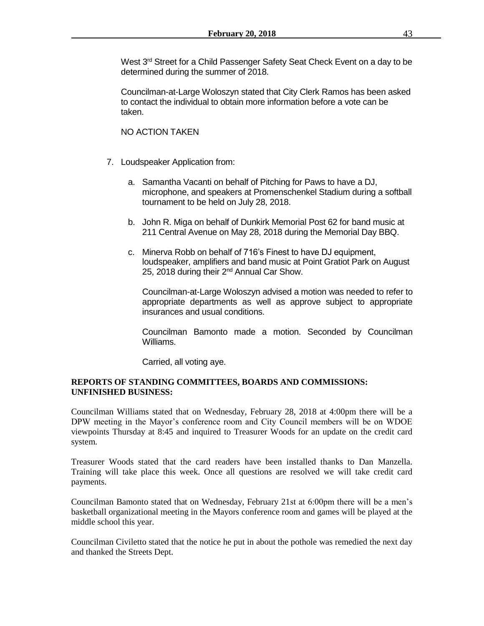West 3<sup>rd</sup> Street for a Child Passenger Safety Seat Check Event on a day to be determined during the summer of 2018.

Councilman-at-Large Woloszyn stated that City Clerk Ramos has been asked to contact the individual to obtain more information before a vote can be taken.

### NO ACTION TAKEN

- 7. Loudspeaker Application from:
	- a. Samantha Vacanti on behalf of Pitching for Paws to have a DJ, microphone, and speakers at Promenschenkel Stadium during a softball tournament to be held on July 28, 2018.
	- b. John R. Miga on behalf of Dunkirk Memorial Post 62 for band music at 211 Central Avenue on May 28, 2018 during the Memorial Day BBQ.
	- c. Minerva Robb on behalf of 716's Finest to have DJ equipment, loudspeaker, amplifiers and band music at Point Gratiot Park on August 25, 2018 during their 2<sup>nd</sup> Annual Car Show.

Councilman-at-Large Woloszyn advised a motion was needed to refer to appropriate departments as well as approve subject to appropriate insurances and usual conditions.

Councilman Bamonto made a motion. Seconded by Councilman Williams.

Carried, all voting aye.

#### **REPORTS OF STANDING COMMITTEES, BOARDS AND COMMISSIONS: UNFINISHED BUSINESS:**

Councilman Williams stated that on Wednesday, February 28, 2018 at 4:00pm there will be a DPW meeting in the Mayor's conference room and City Council members will be on WDOE viewpoints Thursday at 8:45 and inquired to Treasurer Woods for an update on the credit card system.

Treasurer Woods stated that the card readers have been installed thanks to Dan Manzella. Training will take place this week. Once all questions are resolved we will take credit card payments.

Councilman Bamonto stated that on Wednesday, February 21st at 6:00pm there will be a men's basketball organizational meeting in the Mayors conference room and games will be played at the middle school this year.

Councilman Civiletto stated that the notice he put in about the pothole was remedied the next day and thanked the Streets Dept.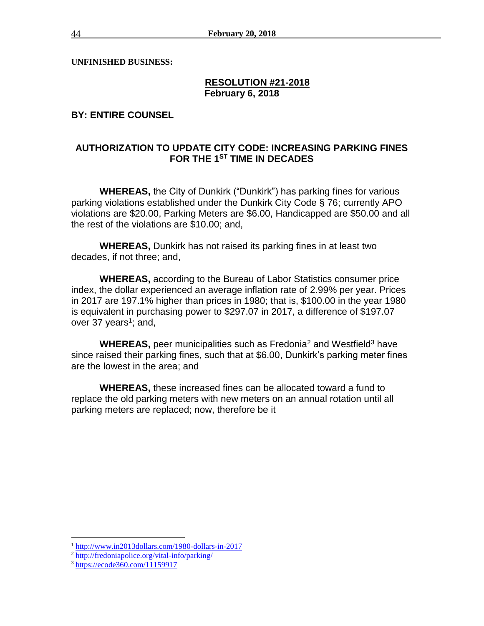**UNFINISHED BUSINESS:**

### **RESOLUTION #21-2018 February 6, 2018**

**BY: ENTIRE COUNSEL**

# **AUTHORIZATION TO UPDATE CITY CODE: INCREASING PARKING FINES FOR THE 1ST TIME IN DECADES**

**WHEREAS,** the City of Dunkirk ("Dunkirk") has parking fines for various parking violations established under the Dunkirk City Code § 76; currently APO violations are \$20.00, Parking Meters are \$6.00, Handicapped are \$50.00 and all the rest of the violations are \$10.00; and,

**WHEREAS,** Dunkirk has not raised its parking fines in at least two decades, if not three; and,

**WHEREAS,** according to the Bureau of Labor Statistics consumer price index, the dollar experienced an average inflation rate of 2.99% per year. Prices in 2017 are 197.1% higher than prices in 1980; that is, \$100.00 in the year 1980 is equivalent in purchasing power to \$297.07 in 2017, a difference of \$197.07 over 37 years<sup>1</sup>; and,

**WHEREAS,** peer municipalities such as Fredonia<sup>2</sup> and Westfield<sup>3</sup> have since raised their parking fines, such that at \$6.00, Dunkirk's parking meter fines are the lowest in the area; and

**WHEREAS,** these increased fines can be allocated toward a fund to replace the old parking meters with new meters on an annual rotation until all parking meters are replaced; now, therefore be it

 $\overline{a}$ 

<sup>1</sup> <http://www.in2013dollars.com/1980-dollars-in-2017>

<sup>&</sup>lt;sup>2</sup> <http://fredoniapolice.org/vital-info/parking/>

<sup>&</sup>lt;sup>3</sup> <https://ecode360.com/11159917>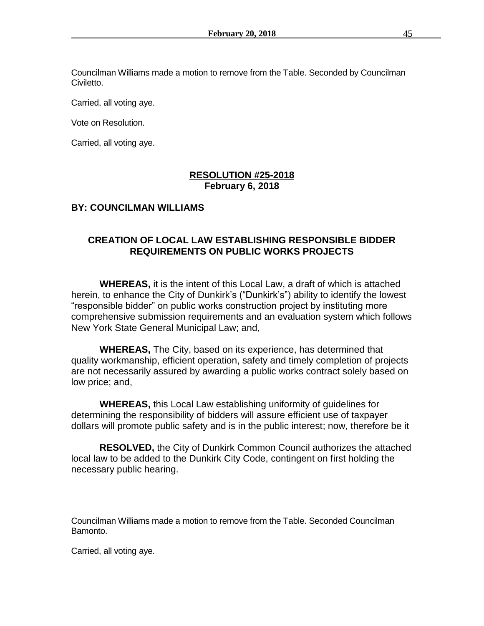Councilman Williams made a motion to remove from the Table. Seconded by Councilman Civiletto.

Carried, all voting aye.

Vote on Resolution.

Carried, all voting aye.

### **RESOLUTION #25-2018 February 6, 2018**

# **BY: COUNCILMAN WILLIAMS**

# **CREATION OF LOCAL LAW ESTABLISHING RESPONSIBLE BIDDER REQUIREMENTS ON PUBLIC WORKS PROJECTS**

**WHEREAS,** it is the intent of this Local Law, a draft of which is attached herein, to enhance the City of Dunkirk's ("Dunkirk's") ability to identify the lowest "responsible bidder" on public works construction project by instituting more comprehensive submission requirements and an evaluation system which follows New York State General Municipal Law; and,

**WHEREAS,** The City, based on its experience, has determined that quality workmanship, efficient operation, safety and timely completion of projects are not necessarily assured by awarding a public works contract solely based on low price; and,

**WHEREAS,** this Local Law establishing uniformity of guidelines for determining the responsibility of bidders will assure efficient use of taxpayer dollars will promote public safety and is in the public interest; now, therefore be it

**RESOLVED,** the City of Dunkirk Common Council authorizes the attached local law to be added to the Dunkirk City Code, contingent on first holding the necessary public hearing.

Councilman Williams made a motion to remove from the Table. Seconded Councilman Bamonto.

Carried, all voting aye.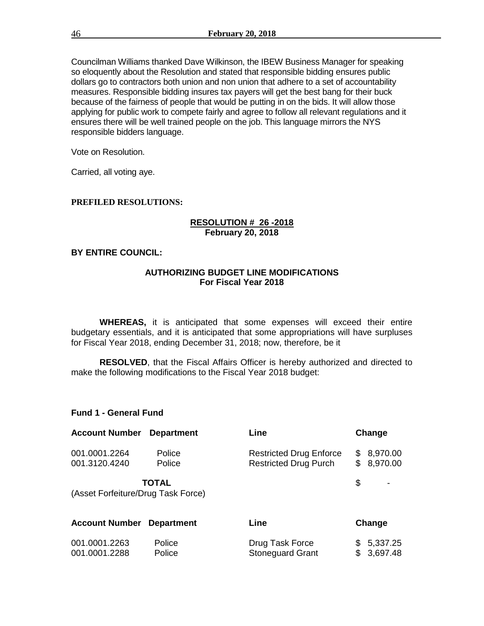Councilman Williams thanked Dave Wilkinson, the IBEW Business Manager for speaking so eloquently about the Resolution and stated that responsible bidding ensures public dollars go to contractors both union and non union that adhere to a set of accountability measures. Responsible bidding insures tax payers will get the best bang for their buck because of the fairness of people that would be putting in on the bids. It will allow those applying for public work to compete fairly and agree to follow all relevant regulations and it ensures there will be well trained people on the job. This language mirrors the NYS responsible bidders language.

Vote on Resolution.

Carried, all voting aye.

#### **PREFILED RESOLUTIONS:**

#### **RESOLUTION # 26 -2018 February 20, 2018**

### **BY ENTIRE COUNCIL:**

#### **AUTHORIZING BUDGET LINE MODIFICATIONS For Fiscal Year 2018**

**WHEREAS,** it is anticipated that some expenses will exceed their entire budgetary essentials, and it is anticipated that some appropriations will have surpluses for Fiscal Year 2018, ending December 31, 2018; now, therefore, be it

**RESOLVED**, that the Fiscal Affairs Officer is hereby authorized and directed to make the following modifications to the Fiscal Year 2018 budget:

#### **Fund 1 - General Fund**

| <b>Account Number</b>              | <b>Department</b> | Line                                                           | Change                            |
|------------------------------------|-------------------|----------------------------------------------------------------|-----------------------------------|
| 001.0001.2264<br>001.3120.4240     | Police<br>Police  | <b>Restricted Drug Enforce</b><br><b>Restricted Drug Purch</b> | 8,970.00<br>\$<br>\$<br>8,970.00  |
| (Asset Forfeiture/Drug Task Force) | <b>TOTAL</b>      |                                                                | \$                                |
| <b>Account Number</b>              | <b>Department</b> | Line                                                           | Change                            |
| 001.0001.2263<br>001.0001.2288     | Police<br>Police  | Drug Task Force<br><b>Stoneguard Grant</b>                     | 5,337.25<br>\$<br>\$.<br>3,697.48 |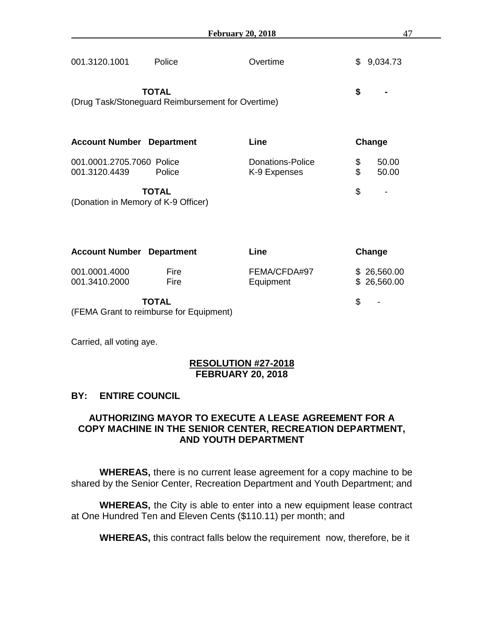| <b>February 20, 2018</b>                          |              |                                         | 47                         |
|---------------------------------------------------|--------------|-----------------------------------------|----------------------------|
| 001.3120.1001                                     | Police       | Overtime                                | \$<br>9,034.73             |
| (Drug Task/Stoneguard Reimbursement for Overtime) | <b>TOTAL</b> |                                         | \$                         |
| <b>Account Number Department</b>                  |              | Line                                    | Change                     |
| 001.0001.2705.7060 Police<br>001.3120.4439        | Police       | <b>Donations-Police</b><br>K-9 Expenses | \$<br>\$<br>50.00<br>50.00 |
| (Donation in Memory of K-9 Officer)               | <b>TOTAL</b> |                                         | \$                         |
| <b>Account Number Department</b>                  |              | Line                                    | Change                     |
| 001.0001.4000                                     | Fire         | FEMA/CFDA#97                            | \$26,560.00                |

001.3410.2000 Fire Equipment \$ 26,560.00

**TOTAL** \$ -

(FEMA Grant to reimburse for Equipment)

Carried, all voting aye.

# **RESOLUTION #27-2018 FEBRUARY 20, 2018**

# **BY: ENTIRE COUNCIL**

# **AUTHORIZING MAYOR TO EXECUTE A LEASE AGREEMENT FOR A COPY MACHINE IN THE SENIOR CENTER, RECREATION DEPARTMENT, AND YOUTH DEPARTMENT**

**WHEREAS,** there is no current lease agreement for a copy machine to be shared by the Senior Center, Recreation Department and Youth Department; and

**WHEREAS,** the City is able to enter into a new equipment lease contract at One Hundred Ten and Eleven Cents (\$110.11) per month; and

**WHEREAS,** this contract falls below the requirement now, therefore, be it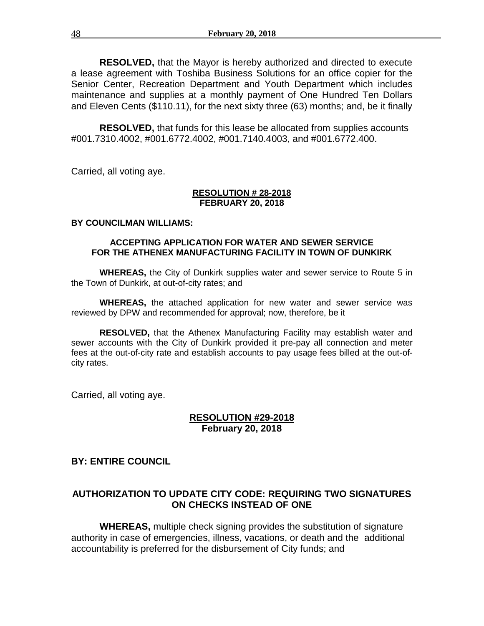**RESOLVED,** that the Mayor is hereby authorized and directed to execute a lease agreement with Toshiba Business Solutions for an office copier for the Senior Center, Recreation Department and Youth Department which includes maintenance and supplies at a monthly payment of One Hundred Ten Dollars and Eleven Cents (\$110.11), for the next sixty three (63) months; and, be it finally

**RESOLVED,** that funds for this lease be allocated from supplies accounts #001.7310.4002, #001.6772.4002, #001.7140.4003, and #001.6772.400.

Carried, all voting aye.

#### **RESOLUTION # 28-2018 FEBRUARY 20, 2018**

#### **BY COUNCILMAN WILLIAMS:**

#### **ACCEPTING APPLICATION FOR WATER AND SEWER SERVICE FOR THE ATHENEX MANUFACTURING FACILITY IN TOWN OF DUNKIRK**

**WHEREAS,** the City of Dunkirk supplies water and sewer service to Route 5 in the Town of Dunkirk, at out-of-city rates; and

**WHEREAS,** the attached application for new water and sewer service was reviewed by DPW and recommended for approval; now, therefore, be it

**RESOLVED,** that the Athenex Manufacturing Facility may establish water and sewer accounts with the City of Dunkirk provided it pre-pay all connection and meter fees at the out-of-city rate and establish accounts to pay usage fees billed at the out-ofcity rates.

Carried, all voting aye.

# **RESOLUTION #29-2018 February 20, 2018**

# **BY: ENTIRE COUNCIL**

# **AUTHORIZATION TO UPDATE CITY CODE: REQUIRING TWO SIGNATURES ON CHECKS INSTEAD OF ONE**

**WHEREAS,** multiple check signing provides the substitution of signature authority in case of emergencies, illness, vacations, or death and the additional accountability is preferred for the disbursement of City funds; and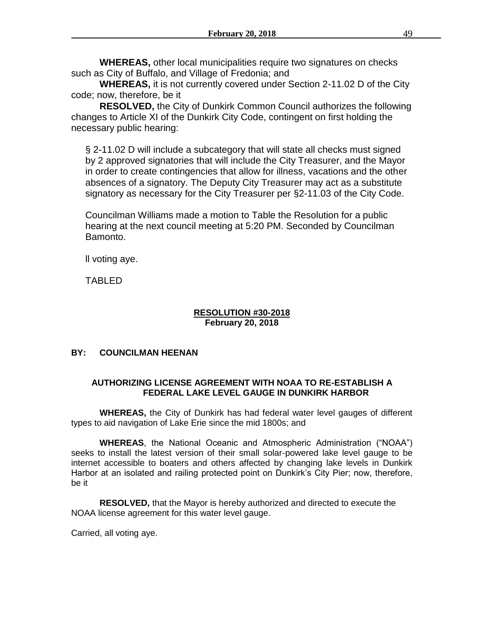**WHEREAS,** other local municipalities require two signatures on checks such as City of Buffalo, and Village of Fredonia; and

**WHEREAS,** it is not currently covered under Section 2-11.02 D of the City code; now, therefore, be it

**RESOLVED,** the City of Dunkirk Common Council authorizes the following changes to Article XI of the Dunkirk City Code, contingent on first holding the necessary public hearing:

§ 2-11.02 D will include a subcategory that will state all checks must signed by 2 approved signatories that will include the City Treasurer, and the Mayor in order to create contingencies that allow for illness, vacations and the other absences of a signatory. The Deputy City Treasurer may act as a substitute signatory as necessary for the City Treasurer per §2-11.03 of the City Code.

Councilman Williams made a motion to Table the Resolution for a public hearing at the next council meeting at 5:20 PM. Seconded by Councilman Bamonto.

ll voting aye.

TABLED

### **RESOLUTION #30-2018 February 20, 2018**

# **BY: COUNCILMAN HEENAN**

### **AUTHORIZING LICENSE AGREEMENT WITH NOAA TO RE-ESTABLISH A FEDERAL LAKE LEVEL GAUGE IN DUNKIRK HARBOR**

**WHEREAS,** the City of Dunkirk has had federal water level gauges of different types to aid navigation of Lake Erie since the mid 1800s; and

**WHEREAS**, the National Oceanic and Atmospheric Administration ("NOAA") seeks to install the latest version of their small solar-powered lake level gauge to be internet accessible to boaters and others affected by changing lake levels in Dunkirk Harbor at an isolated and railing protected point on Dunkirk's City Pier; now, therefore, be it

**RESOLVED,** that the Mayor is hereby authorized and directed to execute the NOAA license agreement for this water level gauge.

Carried, all voting aye.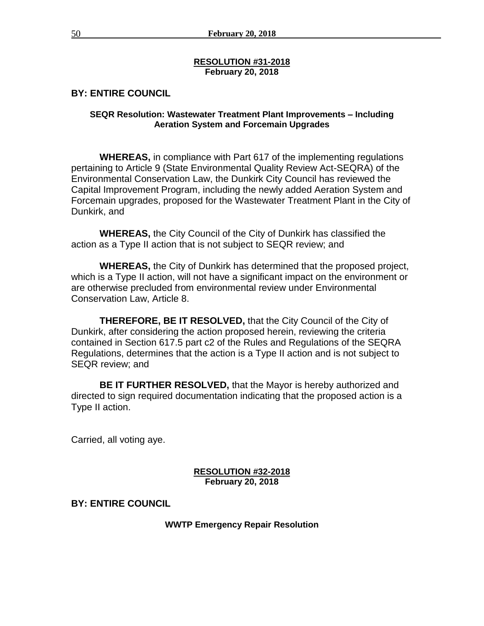### **RESOLUTION #31-2018 February 20, 2018**

# **BY: ENTIRE COUNCIL**

### **SEQR Resolution: Wastewater Treatment Plant Improvements – Including Aeration System and Forcemain Upgrades**

**WHEREAS,** in compliance with Part 617 of the implementing regulations pertaining to Article 9 (State Environmental Quality Review Act-SEQRA) of the Environmental Conservation Law, the Dunkirk City Council has reviewed the Capital Improvement Program, including the newly added Aeration System and Forcemain upgrades, proposed for the Wastewater Treatment Plant in the City of Dunkirk, and

**WHEREAS,** the City Council of the City of Dunkirk has classified the action as a Type II action that is not subject to SEQR review; and

**WHEREAS,** the City of Dunkirk has determined that the proposed project, which is a Type II action, will not have a significant impact on the environment or are otherwise precluded from environmental review under Environmental Conservation Law, Article 8.

**THEREFORE, BE IT RESOLVED,** that the City Council of the City of Dunkirk, after considering the action proposed herein, reviewing the criteria contained in Section 617.5 part c2 of the Rules and Regulations of the SEQRA Regulations, determines that the action is a Type II action and is not subject to SEQR review; and

**BE IT FURTHER RESOLVED,** that the Mayor is hereby authorized and directed to sign required documentation indicating that the proposed action is a Type II action.

Carried, all voting aye.

### **RESOLUTION #32-2018 February 20, 2018**

# **BY: ENTIRE COUNCIL**

**WWTP Emergency Repair Resolution**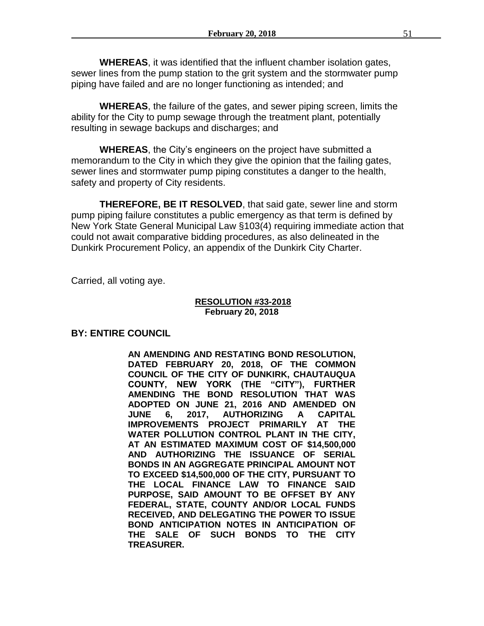**WHEREAS**, it was identified that the influent chamber isolation gates, sewer lines from the pump station to the grit system and the stormwater pump piping have failed and are no longer functioning as intended; and

**WHEREAS**, the failure of the gates, and sewer piping screen, limits the ability for the City to pump sewage through the treatment plant, potentially resulting in sewage backups and discharges; and

**WHEREAS**, the City's engineers on the project have submitted a memorandum to the City in which they give the opinion that the failing gates, sewer lines and stormwater pump piping constitutes a danger to the health, safety and property of City residents.

**THEREFORE, BE IT RESOLVED**, that said gate, sewer line and storm pump piping failure constitutes a public emergency as that term is defined by New York State General Municipal Law §103(4) requiring immediate action that could not await comparative bidding procedures, as also delineated in the Dunkirk Procurement Policy, an appendix of the Dunkirk City Charter.

Carried, all voting aye.

#### **RESOLUTION #33-2018 February 20, 2018**

# **BY: ENTIRE COUNCIL**

**AN AMENDING AND RESTATING BOND RESOLUTION, DATED FEBRUARY 20, 2018, OF THE COMMON COUNCIL OF THE CITY OF DUNKIRK, CHAUTAUQUA COUNTY, NEW YORK (THE "CITY"), FURTHER AMENDING THE BOND RESOLUTION THAT WAS ADOPTED ON JUNE 21, 2016 AND AMENDED ON JUNE 6, 2017, AUTHORIZING A CAPITAL IMPROVEMENTS PROJECT PRIMARILY AT THE WATER POLLUTION CONTROL PLANT IN THE CITY, AT AN ESTIMATED MAXIMUM COST OF \$14,500,000 AND AUTHORIZING THE ISSUANCE OF SERIAL BONDS IN AN AGGREGATE PRINCIPAL AMOUNT NOT TO EXCEED \$14,500,000 OF THE CITY, PURSUANT TO THE LOCAL FINANCE LAW TO FINANCE SAID PURPOSE, SAID AMOUNT TO BE OFFSET BY ANY FEDERAL, STATE, COUNTY AND/OR LOCAL FUNDS RECEIVED, AND DELEGATING THE POWER TO ISSUE BOND ANTICIPATION NOTES IN ANTICIPATION OF THE SALE OF SUCH BONDS TO THE CITY TREASURER.**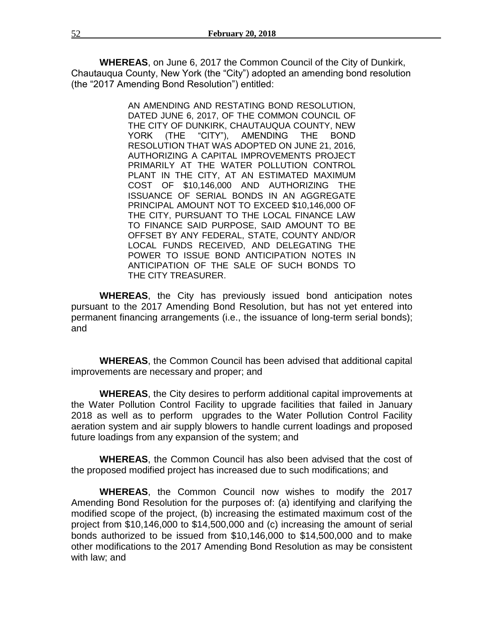**WHEREAS**, on June 6, 2017 the Common Council of the City of Dunkirk, Chautauqua County, New York (the "City") adopted an amending bond resolution (the "2017 Amending Bond Resolution") entitled:

> AN AMENDING AND RESTATING BOND RESOLUTION, DATED JUNE 6, 2017, OF THE COMMON COUNCIL OF THE CITY OF DUNKIRK, CHAUTAUQUA COUNTY, NEW YORK (THE "CITY"), AMENDING THE BOND RESOLUTION THAT WAS ADOPTED ON JUNE 21, 2016, AUTHORIZING A CAPITAL IMPROVEMENTS PROJECT PRIMARILY AT THE WATER POLLUTION CONTROL PLANT IN THE CITY, AT AN ESTIMATED MAXIMUM COST OF \$10,146,000 AND AUTHORIZING THE ISSUANCE OF SERIAL BONDS IN AN AGGREGATE PRINCIPAL AMOUNT NOT TO EXCEED \$10,146,000 OF THE CITY, PURSUANT TO THE LOCAL FINANCE LAW TO FINANCE SAID PURPOSE, SAID AMOUNT TO BE OFFSET BY ANY FEDERAL, STATE, COUNTY AND/OR LOCAL FUNDS RECEIVED, AND DELEGATING THE POWER TO ISSUE BOND ANTICIPATION NOTES IN ANTICIPATION OF THE SALE OF SUCH BONDS TO THE CITY TREASURER.

**WHEREAS**, the City has previously issued bond anticipation notes pursuant to the 2017 Amending Bond Resolution, but has not yet entered into permanent financing arrangements (i.e., the issuance of long-term serial bonds); and

**WHEREAS**, the Common Council has been advised that additional capital improvements are necessary and proper; and

**WHEREAS**, the City desires to perform additional capital improvements at the Water Pollution Control Facility to upgrade facilities that failed in January 2018 as well as to perform upgrades to the Water Pollution Control Facility aeration system and air supply blowers to handle current loadings and proposed future loadings from any expansion of the system; and

**WHEREAS**, the Common Council has also been advised that the cost of the proposed modified project has increased due to such modifications; and

**WHEREAS**, the Common Council now wishes to modify the 2017 Amending Bond Resolution for the purposes of: (a) identifying and clarifying the modified scope of the project, (b) increasing the estimated maximum cost of the project from \$10,146,000 to \$14,500,000 and (c) increasing the amount of serial bonds authorized to be issued from \$10,146,000 to \$14,500,000 and to make other modifications to the 2017 Amending Bond Resolution as may be consistent with law; and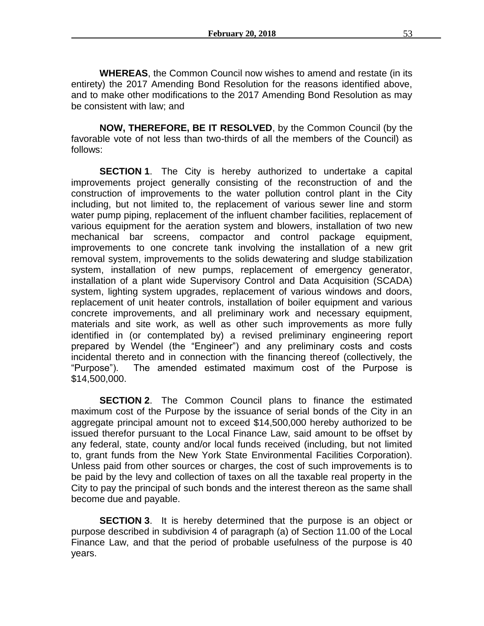**WHEREAS**, the Common Council now wishes to amend and restate (in its entirety) the 2017 Amending Bond Resolution for the reasons identified above, and to make other modifications to the 2017 Amending Bond Resolution as may be consistent with law; and

**NOW, THEREFORE, BE IT RESOLVED**, by the Common Council (by the favorable vote of not less than two-thirds of all the members of the Council) as follows:

**SECTION 1.** The City is hereby authorized to undertake a capital improvements project generally consisting of the reconstruction of and the construction of improvements to the water pollution control plant in the City including, but not limited to, the replacement of various sewer line and storm water pump piping, replacement of the influent chamber facilities, replacement of various equipment for the aeration system and blowers, installation of two new mechanical bar screens, compactor and control package equipment, improvements to one concrete tank involving the installation of a new grit removal system, improvements to the solids dewatering and sludge stabilization system, installation of new pumps, replacement of emergency generator, installation of a plant wide Supervisory Control and Data Acquisition (SCADA) system, lighting system upgrades, replacement of various windows and doors, replacement of unit heater controls, installation of boiler equipment and various concrete improvements, and all preliminary work and necessary equipment, materials and site work, as well as other such improvements as more fully identified in (or contemplated by) a revised preliminary engineering report prepared by Wendel (the "Engineer") and any preliminary costs and costs incidental thereto and in connection with the financing thereof (collectively, the "Purpose"). The amended estimated maximum cost of the Purpose is \$14,500,000.

**SECTION 2.** The Common Council plans to finance the estimated maximum cost of the Purpose by the issuance of serial bonds of the City in an aggregate principal amount not to exceed \$14,500,000 hereby authorized to be issued therefor pursuant to the Local Finance Law, said amount to be offset by any federal, state, county and/or local funds received (including, but not limited to, grant funds from the New York State Environmental Facilities Corporation). Unless paid from other sources or charges, the cost of such improvements is to be paid by the levy and collection of taxes on all the taxable real property in the City to pay the principal of such bonds and the interest thereon as the same shall become due and payable.

**SECTION 3.** It is hereby determined that the purpose is an object or purpose described in subdivision 4 of paragraph (a) of Section 11.00 of the Local Finance Law, and that the period of probable usefulness of the purpose is 40 years.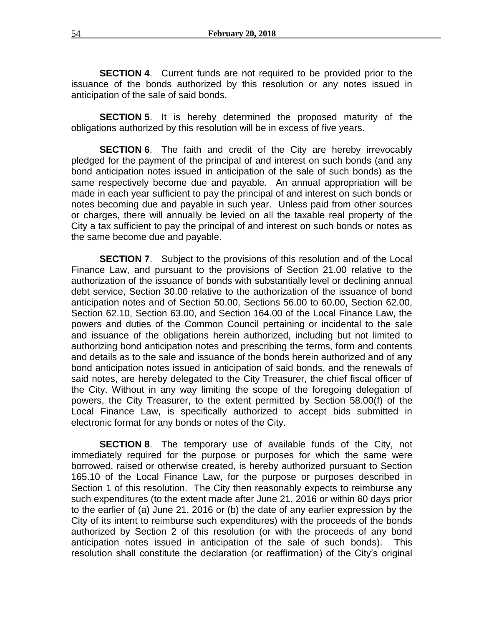**SECTION 4.** Current funds are not required to be provided prior to the issuance of the bonds authorized by this resolution or any notes issued in anticipation of the sale of said bonds.

**SECTION 5**. It is hereby determined the proposed maturity of the obligations authorized by this resolution will be in excess of five years.

**SECTION 6.** The faith and credit of the City are hereby irrevocably pledged for the payment of the principal of and interest on such bonds (and any bond anticipation notes issued in anticipation of the sale of such bonds) as the same respectively become due and payable. An annual appropriation will be made in each year sufficient to pay the principal of and interest on such bonds or notes becoming due and payable in such year. Unless paid from other sources or charges, there will annually be levied on all the taxable real property of the City a tax sufficient to pay the principal of and interest on such bonds or notes as the same become due and payable.

**SECTION 7.** Subject to the provisions of this resolution and of the Local Finance Law, and pursuant to the provisions of Section 21.00 relative to the authorization of the issuance of bonds with substantially level or declining annual debt service, Section 30.00 relative to the authorization of the issuance of bond anticipation notes and of Section 50.00, Sections 56.00 to 60.00, Section 62.00, Section 62.10, Section 63.00, and Section 164.00 of the Local Finance Law, the powers and duties of the Common Council pertaining or incidental to the sale and issuance of the obligations herein authorized, including but not limited to authorizing bond anticipation notes and prescribing the terms, form and contents and details as to the sale and issuance of the bonds herein authorized and of any bond anticipation notes issued in anticipation of said bonds, and the renewals of said notes, are hereby delegated to the City Treasurer, the chief fiscal officer of the City. Without in any way limiting the scope of the foregoing delegation of powers, the City Treasurer, to the extent permitted by Section 58.00(f) of the Local Finance Law, is specifically authorized to accept bids submitted in electronic format for any bonds or notes of the City.

**SECTION 8**. The temporary use of available funds of the City, not immediately required for the purpose or purposes for which the same were borrowed, raised or otherwise created, is hereby authorized pursuant to Section 165.10 of the Local Finance Law, for the purpose or purposes described in Section 1 of this resolution. The City then reasonably expects to reimburse any such expenditures (to the extent made after June 21, 2016 or within 60 days prior to the earlier of (a) June 21, 2016 or (b) the date of any earlier expression by the City of its intent to reimburse such expenditures) with the proceeds of the bonds authorized by Section 2 of this resolution (or with the proceeds of any bond anticipation notes issued in anticipation of the sale of such bonds). This resolution shall constitute the declaration (or reaffirmation) of the City's original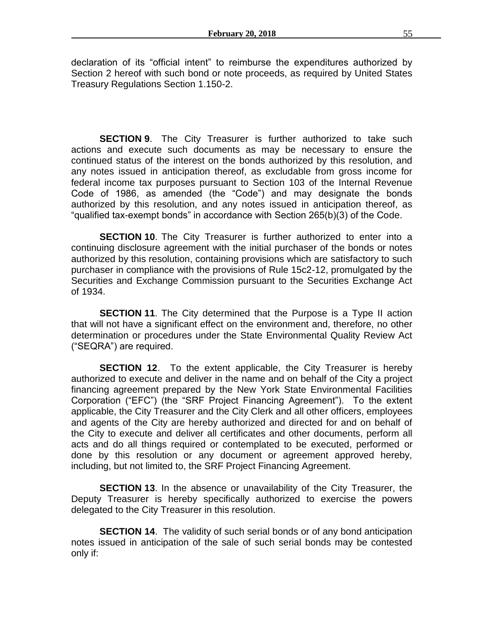declaration of its "official intent" to reimburse the expenditures authorized by Section 2 hereof with such bond or note proceeds, as required by United States Treasury Regulations Section 1.150-2.

**SECTION 9**. The City Treasurer is further authorized to take such actions and execute such documents as may be necessary to ensure the continued status of the interest on the bonds authorized by this resolution, and any notes issued in anticipation thereof, as excludable from gross income for federal income tax purposes pursuant to Section 103 of the Internal Revenue Code of 1986, as amended (the "Code") and may designate the bonds authorized by this resolution, and any notes issued in anticipation thereof, as "qualified tax-exempt bonds" in accordance with Section 265(b)(3) of the Code.

**SECTION 10.** The City Treasurer is further authorized to enter into a continuing disclosure agreement with the initial purchaser of the bonds or notes authorized by this resolution, containing provisions which are satisfactory to such purchaser in compliance with the provisions of Rule 15c2-12, promulgated by the Securities and Exchange Commission pursuant to the Securities Exchange Act of 1934.

**SECTION 11.** The City determined that the Purpose is a Type II action that will not have a significant effect on the environment and, therefore, no other determination or procedures under the State Environmental Quality Review Act ("SEQRA") are required.

**SECTION 12.** To the extent applicable, the City Treasurer is hereby authorized to execute and deliver in the name and on behalf of the City a project financing agreement prepared by the New York State Environmental Facilities Corporation ("EFC") (the "SRF Project Financing Agreement"). To the extent applicable, the City Treasurer and the City Clerk and all other officers, employees and agents of the City are hereby authorized and directed for and on behalf of the City to execute and deliver all certificates and other documents, perform all acts and do all things required or contemplated to be executed, performed or done by this resolution or any document or agreement approved hereby, including, but not limited to, the SRF Project Financing Agreement.

**SECTION 13.** In the absence or unavailability of the City Treasurer, the Deputy Treasurer is hereby specifically authorized to exercise the powers delegated to the City Treasurer in this resolution.

**SECTION 14.** The validity of such serial bonds or of any bond anticipation notes issued in anticipation of the sale of such serial bonds may be contested only if: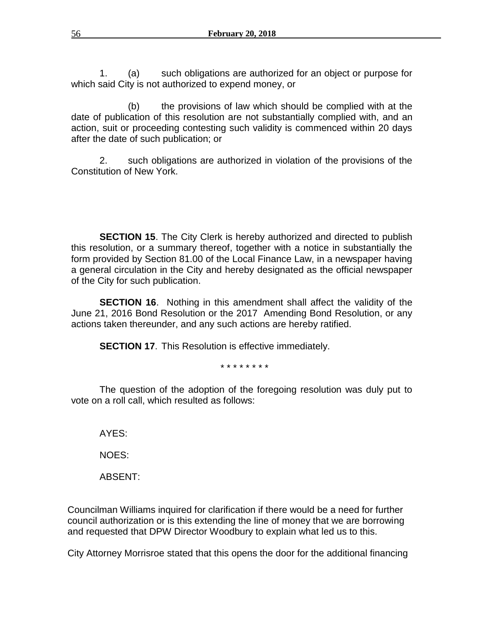1. (a) such obligations are authorized for an object or purpose for which said City is not authorized to expend money, or

(b) the provisions of law which should be complied with at the date of publication of this resolution are not substantially complied with, and an action, suit or proceeding contesting such validity is commenced within 20 days after the date of such publication; or

2. such obligations are authorized in violation of the provisions of the Constitution of New York.

**SECTION 15.** The City Clerk is hereby authorized and directed to publish this resolution, or a summary thereof, together with a notice in substantially the form provided by Section 81.00 of the Local Finance Law, in a newspaper having a general circulation in the City and hereby designated as the official newspaper of the City for such publication.

**SECTION 16**. Nothing in this amendment shall affect the validity of the June 21, 2016 Bond Resolution or the 2017 Amending Bond Resolution, or any actions taken thereunder, and any such actions are hereby ratified.

**SECTION 17.** This Resolution is effective immediately.

\* \* \* \* \* \* \* \*

The question of the adoption of the foregoing resolution was duly put to vote on a roll call, which resulted as follows:

AYES:

NOES:

ABSENT:

Councilman Williams inquired for clarification if there would be a need for further council authorization or is this extending the line of money that we are borrowing and requested that DPW Director Woodbury to explain what led us to this.

City Attorney Morrisroe stated that this opens the door for the additional financing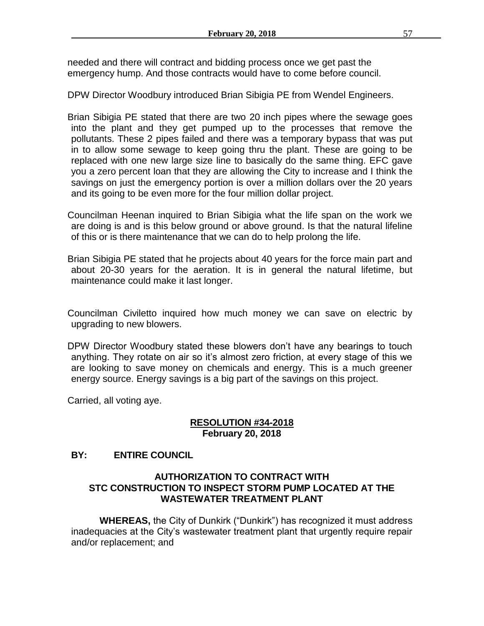needed and there will contract and bidding process once we get past the emergency hump. And those contracts would have to come before council.

DPW Director Woodbury introduced Brian Sibigia PE from Wendel Engineers.

Brian Sibigia PE stated that there are two 20 inch pipes where the sewage goes into the plant and they get pumped up to the processes that remove the pollutants. These 2 pipes failed and there was a temporary bypass that was put in to allow some sewage to keep going thru the plant. These are going to be replaced with one new large size line to basically do the same thing. EFC gave you a zero percent loan that they are allowing the City to increase and I think the savings on just the emergency portion is over a million dollars over the 20 years and its going to be even more for the four million dollar project.

Councilman Heenan inquired to Brian Sibigia what the life span on the work we are doing is and is this below ground or above ground. Is that the natural lifeline of this or is there maintenance that we can do to help prolong the life.

Brian Sibigia PE stated that he projects about 40 years for the force main part and about 20-30 years for the aeration. It is in general the natural lifetime, but maintenance could make it last longer.

Councilman Civiletto inquired how much money we can save on electric by upgrading to new blowers.

DPW Director Woodbury stated these blowers don't have any bearings to touch anything. They rotate on air so it's almost zero friction, at every stage of this we are looking to save money on chemicals and energy. This is a much greener energy source. Energy savings is a big part of the savings on this project.

Carried, all voting aye.

# **RESOLUTION #34-2018 February 20, 2018**

# **BY: ENTIRE COUNCIL**

# **AUTHORIZATION TO CONTRACT WITH STC CONSTRUCTION TO INSPECT STORM PUMP LOCATED AT THE WASTEWATER TREATMENT PLANT**

**WHEREAS,** the City of Dunkirk ("Dunkirk") has recognized it must address inadequacies at the City's wastewater treatment plant that urgently require repair and/or replacement; and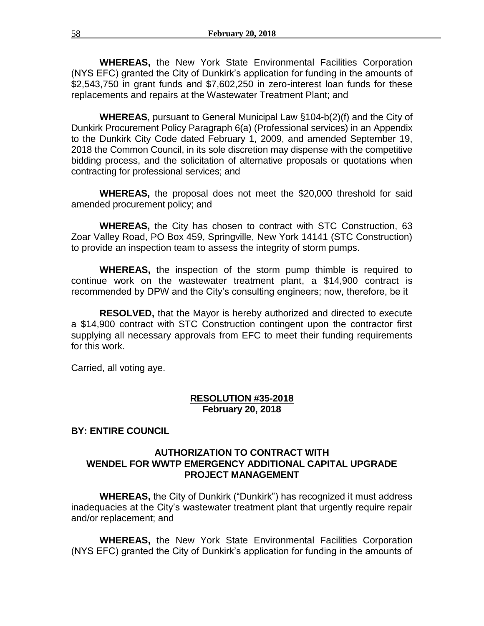**WHEREAS,** the New York State Environmental Facilities Corporation (NYS EFC) granted the City of Dunkirk's application for funding in the amounts of \$2,543,750 in grant funds and \$7,602,250 in zero-interest loan funds for these replacements and repairs at the Wastewater Treatment Plant; and

**WHEREAS**, pursuant to General Municipal Law §104-b(2)(f) and the City of Dunkirk Procurement Policy Paragraph 6(a) (Professional services) in an Appendix to the Dunkirk City Code dated February 1, 2009, and amended September 19, 2018 the Common Council, in its sole discretion may dispense with the competitive bidding process, and the solicitation of alternative proposals or quotations when contracting for professional services; and

**WHEREAS,** the proposal does not meet the \$20,000 threshold for said amended procurement policy; and

**WHEREAS,** the City has chosen to contract with STC Construction, 63 Zoar Valley Road, PO Box 459, Springville, New York 14141 (STC Construction) to provide an inspection team to assess the integrity of storm pumps.

**WHEREAS,** the inspection of the storm pump thimble is required to continue work on the wastewater treatment plant, a \$14,900 contract is recommended by DPW and the City's consulting engineers; now, therefore, be it

**RESOLVED,** that the Mayor is hereby authorized and directed to execute a \$14,900 contract with STC Construction contingent upon the contractor first supplying all necessary approvals from EFC to meet their funding requirements for this work.

Carried, all voting aye.

# **RESOLUTION #35-2018 February 20, 2018**

### **BY: ENTIRE COUNCIL**

# **AUTHORIZATION TO CONTRACT WITH WENDEL FOR WWTP EMERGENCY ADDITIONAL CAPITAL UPGRADE PROJECT MANAGEMENT**

**WHEREAS,** the City of Dunkirk ("Dunkirk") has recognized it must address inadequacies at the City's wastewater treatment plant that urgently require repair and/or replacement; and

**WHEREAS,** the New York State Environmental Facilities Corporation (NYS EFC) granted the City of Dunkirk's application for funding in the amounts of